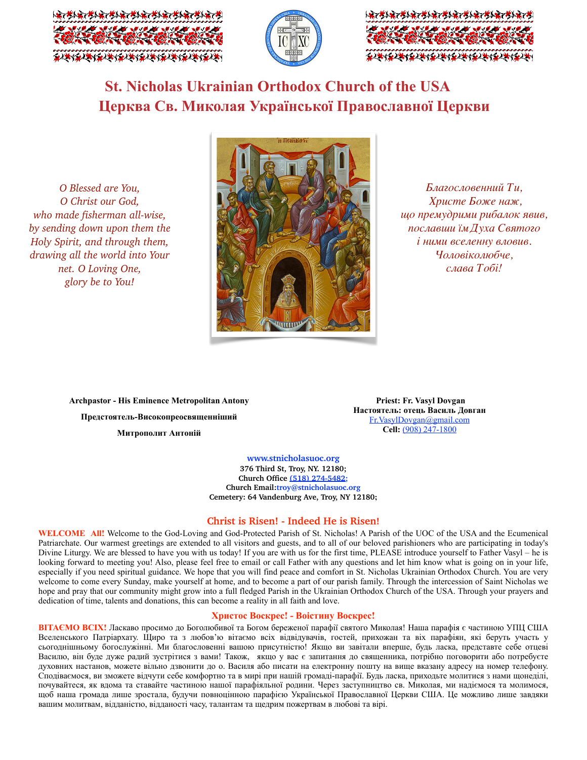





# **St. Nicholas Ukrainian Orthodox Church of the USA Церква Св. Миколая Української Православної Церкви**

*O Blessed are You, O Christ our God, who made fisherman all-wise, by sending down upon them the Holy Spirit, and through them, drawing all the world into Your net. O Loving One, glory be to You!* 



*Благословенний Ти, Христе Боже наж, що премудрими рибалок явив, пославши їм Духа Святого і ними вселенну вловив. Чоловіколюбче, слава Тобі!*

**Archpastor - His Eminence Metropolitan Antony Предстоятель-Високопреосвященніший Митрополит Антоній**

**Priest: Fr. Vasyl Dovgan Настоятель: отець Василь Довган** [Fr.VasylDovgan@gmail.com](mailto:Fr.VasylDovgan@gmail.com) **Cell:** (908) 247-1800

**[www.stnicholasuoc.org](http://www.stnicholasuoc.org/) 376 Third St, Troy, NY. 12180; Church Office (518) 274-5482; Church Email:troy@stnicholasuoc.org Сemetery: 64 Vandenburg Ave, Troy, NY 12180;**

# **Christ is Risen! - Indeed He is Risen!**

**WELCOME All!** Welcome to the God-Loving and God-Protected Parish of St. Nicholas! A Parish of the UOC of the USA and the Ecumenical Patriarchate. Our warmest greetings are extended to all visitors and guests, and to all of our beloved parishioners who are participating in today's Divine Liturgy. We are blessed to have you with us today! If you are with us for the first time, PLEASE introduce yourself to Father Vasyl – he is looking forward to meeting you! Also, please feel free to email or call Father with any questions and let him know what is going on in your life, especially if you need spiritual guidance. We hope that you will find peace and comfort in St. Nicholas Ukrainian Orthodox Church. You are very welcome to come every Sunday, make yourself at home, and to become a part of our parish family. Through the intercession of Saint Nicholas we hope and pray that our community might grow into a full fledged Parish in the Ukrainian Orthodox Church of the USA. Through your prayers and dedication of time, talents and donations, this can become a reality in all faith and love.

### **Христос Воскрес! - Воістину Воскрес!**

**ВІТАЄМО ВСІХ!** Ласкаво просимо до Боголюбивої та Богом береженої парафії святого Миколая! Наша парафія є частиною УПЦ США Вселенського Патріархату. Щиро та з любов'ю вітаємо всіх відвідувачів, гостей, прихожан та віх парафіян, які беруть участь у сьогоднішньому богослужінні. Ми благословенні вашою присутністю! Якщо ви завітали вперше, будь ласка, представте себе отцеві Василю, він буде дуже радий зустрітися з вами! Також, якщо у вас є запитання до священника, потрібно поговорити або потребуєте духовних настанов, можете вільно дзвонити до о. Василя або писати на електронну пошту на вище вказану адресу на номер телефону. Сподіваємося, ви зможете відчути себе комфортно та в мирі при нашій громаді-парафії. Будь ласка, приходьте молитися з нами щонеділі, почувайтеся, як вдома та ставайте частиною нашої парафіяльної родини. Через заступництво св. Миколая, ми надіємося та молимося, щоб наша громада лише зростала, будучи повноцінною парафією Української Православної Церкви США. Це можливо лише завдяки вашим молитвам, відданістю, відданості часу, талантам та щедрим пожертвам в любові та вірі.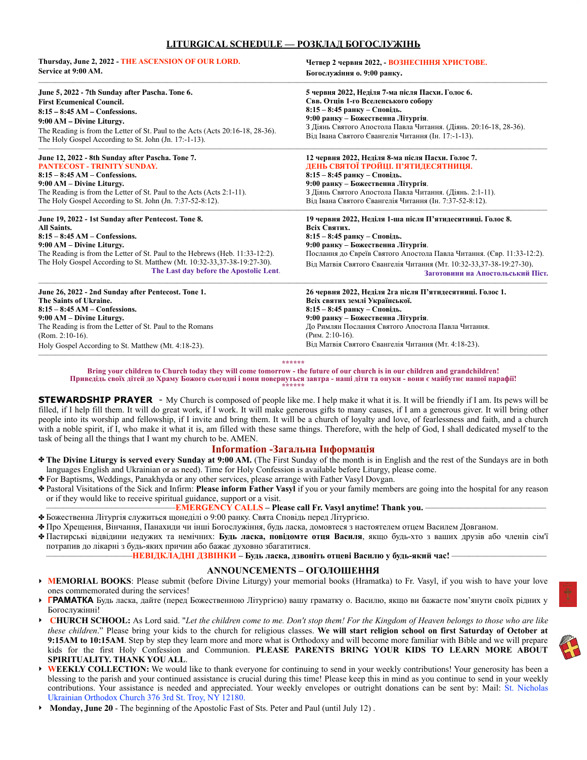# **LITURGICAL SCHEDULE — РОЗКЛАД БОГОСЛУЖІНЬ**

| Thursday, June 2, 2022 - THE ASCENSION OF OUR LORD.                            | Четвер 2 червня 2022, - ВОЗНЕСІННЯ ХРИСТОВЕ.                          |
|--------------------------------------------------------------------------------|-----------------------------------------------------------------------|
| Service at 9:00 AM.                                                            | Богослужіння о. 9:00 ранку.                                           |
| June 5, 2022 - 7th Sunday after Pascha. Tone 6.                                | 5 червня 2022, Неділя 7-ма після Пасхи. Голос 6.                      |
| <b>First Ecumenical Council.</b>                                               | Свв. Отців 1-го Вселенського собору                                   |
| $8:15-8:45$ AM - Confessions.                                                  | $8:15 - 8:45$ ранку – Сповідь.                                        |
| 9:00 AM – Divine Liturgy.                                                      | 9:00 ранку – Божественна Літургія.                                    |
| The Reading is from the Letter of St. Paul to the Acts (Acts 20:16-18, 28-36). | З Діянь Святого Апостола Павла Читання. (Діянь. 20:16-18, 28-36).     |
| The Holy Gospel According to St. John (Jn. 17:-1-13).                          | Від Івана Святого Євангелія Читання (Ін. 17:-1-13).                   |
| June 12, 2022 - 8th Sunday after Pascha. Tone 7.                               | 12 червня 2022, Неділя 8-ма після Пасхи. Голос 7.                     |
| PANTECOST - TRINITY SUNDAY.                                                    | ДЕНЬ СВЯТОЇ ТРОЙЦІ. П'ЯТИДЕСЯТНИЦЯ.                                   |
| $8:15 - 8:45$ AM $-$ Confessions.                                              | $8:15 - 8:45$ ранку – Сповідь.                                        |
| 9:00 AM – Divine Liturgy.                                                      | 9:00 ранку - Божественна Літургія.                                    |
| The Reading is from the Letter of St. Paul to the Acts (Acts 2:1-11).          | З Діянь Святого Апостола Павла Читання. (Діянь. 2:1-11).              |
| The Holy Gospel According to St. John (Jn. 7:37-52-8:12).                      | Від Івана Святого Євангелія Читання (Ін. 7:37-52-8:12).               |
| June 19, 2022 - 1st Sunday after Pentecost. Tone 8.                            | 19 червня 2022, Неділя 1-ша після П'ятидесятниці. Голос 8.            |
| <b>All Saints.</b>                                                             | Всіх Святих.                                                          |
| $8:15 - 8:45$ AM – Confessions.                                                | $8:15 - 8:45$ ранку – Сповідь.                                        |
| 9:00 AM – Divine Liturgy.                                                      | 9:00 ранку - Божественна Літургія.                                    |
| The Reading is from the Letter of St. Paul to the Hebrews (Heb. 11:33-12:2).   | Послання до Євреїв Святого Апостола Павла Читання. (Євр. 11:33-12:2). |
| The Holy Gospel According to St. Matthew (Mt. 10:32-33, 37-38-19:27-30).       | Від Матвія Святого Євангелія Читання (Мт. 10:32-33,37-38-19:27-30).   |
| The Last day before the Apostolic Lent.                                        | Заготовини на Апостольський Піст.                                     |
| June 26, 2022 - 2nd Sunday after Pentecost. Tone 1.                            | 26 червня 2022, Неділя 2га після П'ятидесятниці. Голос 1.             |
| The Saints of Ukraine.                                                         | Всіх святих землі Української.                                        |
| $8:15-8:45$ AM – Confessions.                                                  | 8:15 - 8:45 ранку - Сповідь.                                          |
| 9:00 AM – Divine Liturgy.                                                      | 9:00 ранку - Божественна Літургія.                                    |
| The Reading is from the Letter of St. Paul to the Romans                       | До Римлян Послання Святого Апостола Павла Читання.                    |
| $(Rom. 2:10-16).$                                                              | $(P$ им. 2:10-16).                                                    |
| Holy Gospel According to St. Matthew (Mt. 4:18-23).                            | Від Матвія Святого Євангелія Читання (Мт. 4:18-23).                   |

——————————————————————————————————————————————————————————— **\*\*\*\*\*\*** 

**Bring your children to Church today they will come tomorrow - the future of our church is in our children and grandchildren!**  Приведідь своїх дітей до Храму Божого сьогодні і вони повернуться завтра - наші діти та онуки - вони є майбутнє нашої парафії! **\*\*\*\*\*\*** 

**STEWARDSHIP PRAYER** - My Church is composed of people like me. I help make it what it is. It will be friendly if I am. Its pews will be filled, if I help fill them. It will do great work, if I work. It will make generous gifts to many causes, if I am a generous giver. It will bring other people into its worship and fellowship, if I invite and bring them. It will be a church of loyalty and love, of fearlessness and faith, and a church with a noble spirit, if I, who make it what it is, am filled with these same things. Therefore, with the help of God, I shall dedicated myself to the task of being all the things that I want my church to be. AMEN.

# **Information -Загальна Інформація**

- ✤ **The Divine Liturgy is served every Sunday at 9:00 AM.** (The First Sunday of the month is in English and the rest of the Sundays are in both languages English and Ukrainian or as need). Time for Holy Confession is available before Liturgy, please come.
- ✤ For Baptisms, Weddings, Panakhyda or any other services, please arrange with Father Vasyl Dovgan.
- ✤ Pastoral Visitations of the Sick and Infirm: **Please inform Father Vasyl** if you or your family members are going into the hospital for any reason or if they would like to receive spiritual guidance, support or a visit.

### ———————————————**EMERGENCY CALLS – Please call Fr. Vasyl anytime! Thank you.** ——————————————

- ✤ Божественна Літургія служиться щонеділі о 9:00 ранку. Свята Сповідь перед Літургією.
- ✤ Про Хрещення, Вінчання, Панахиди чи інші Богослужіння, будь ласка, домовтeся з настоятелем отцем Василем Довганoм.
- ✤ Пастирськi відвідини недужих та немічних: **Будь ласка, повідомте отця Василя**, якщо будь-хто з ваших друзів або членів сім'ї потрапив до лікарні з будь-яких причин або бажає духовно збагатитися.

——————————**НЕВІДКЛАДНІ ДЗВІНКИ – Будь ласка, дзвоніть отцеві Василю у будь-який час!** ———————————

#### **ANNOUNCEMENTS – ОГОЛОШЕННЯ**

- ‣ **MEMORIAL BOOKS**: Please submit (before Divine Liturgy) your memorial books (Hramatka) to Fr. Vasyl, if you wish to have your love ones commemorated during the services!
- ‣ **ГРАМАТКА** Будь ласка, дайте (перед Божественною Літургією) вашу граматку о. Василю, якщо ви бажаєте пом'янути своїх рідних у Богослужінні!
- ‣ **CHURCH SCHOOL:** As Lord said. "*Let the children come to me. Don't stop them! For the Kingdom of Heaven belongs to those who are like these children*." Please bring your kids to the church for religious classes. **We will start religion school on first Saturday of October at 9:15AM to 10:15AM**. Step by step they learn more and more what is Orthodoxy and will become more familiar with Bible and we will prepare kids for the first Holy Confession and Communion. **PLEASE PARENTS BRING YOUR KIDS TO LEARN MORE ABOUT SPIRITUALITY. THANK YOU ALL**.
- ‣ **WEEKLY COLLECTION:** We would like to thank everyone for continuing to send in your weekly contributions! Your generosity has been a blessing to the parish and your continued assistance is crucial during this time! Please keep this in mind as you continue to send in your weekly contributions. Your assistance is needed and appreciated. Your weekly envelopes or outright donations can be sent by: Mail: St. Nicholas Ukrainian Orthodox Church 376 3rd St. Troy, NY 12180.
- ‣ **Monday, June 20**  The beginning of the Apostolic Fast of Sts. Peter and Paul (until July 12) .

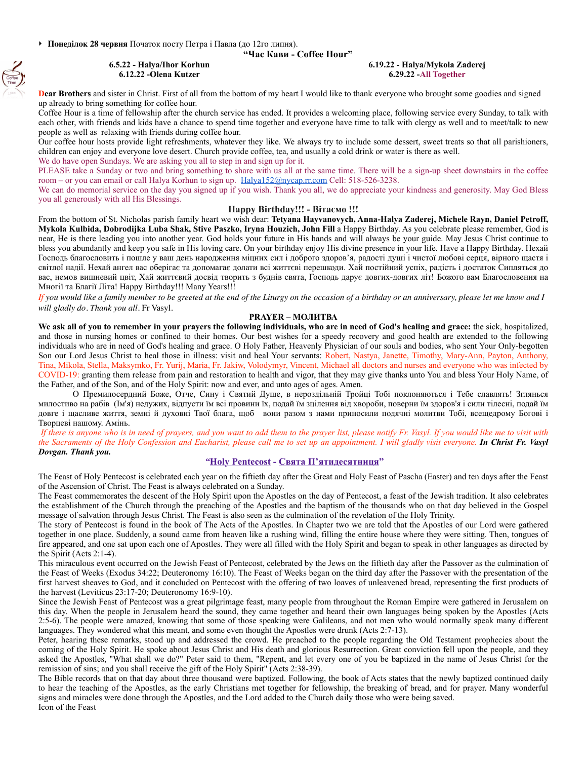## **"Час Кави - Coffee Hour"**

 $\left(\begin{matrix} 1 \\ 1 \\ 0 \end{matrix}\right)$ 

#### **6.5.22 - Halya/Ihor Korhun 6.12.22 -Olena Kutzer**

#### **6.19.22 - Halya/Mykola Zaderej 6.29.22 -All Together**

**Dear Brothers** and sister in Christ. First of all from the bottom of my heart I would like to thank everyone who brought some goodies and signed up already to bring something for coffee hour.

Coffee Hour is a time of fellowship after the church service has ended. It provides a welcoming place, following service every Sunday, to talk with each other, with friends and kids have a chance to spend time together and everyone have time to talk with clergy as well and to meet/talk to new people as well as relaxing with friends during coffee hour.

Our coffee hour hosts provide light refreshments, whatever they like. We always try to include some dessert, sweet treats so that all parishioners, children can enjoy and everyone love desert. Church provide coffee, tea, and usually a cold drink or water is there as well.

We do have open Sundays. We are asking you all to step in and sign up for it. PLEASE take a Sunday or two and bring something to share with us all at the same time. There will be a sign-up sheet downstairs in the coffee room – or you can email or call Halya Korhun to sign up. [Halya152@nycap.rr.com](mailto:Halya152@nycap.rr.com) Cell: 518-526-3238.

We can do memorial service on the day you signed up if you wish. Thank you all, we do appreciate your kindness and generosity. May God Bless you all generously with all His Blessings.

#### **Happy Birthday!!! - Вітаємо !!!**

From the bottom of St. Nicholas parish family heart we wish dear: **Tetyana Hayvanovych, Anna-Halya Zaderej, Michele Rayn, Daniel Petroff, Mykola Kulbida, Dobrodijka Luba Shak, Stive Paszko, Iryna Houzich, John Fill** a Happy Birthday. As you celebrate please remember, God is near, He is there leading you into another year. God holds your future in His hands and will always be your guide. May Jesus Christ continue to bless you abundantly and keep you safe in His loving care. On your birthday enjoy His divine presence in your life. Have a Happy Birthday. Нехай Господь благословить і пошле у ваш день народження міцних сил і доброго здоров'я, радості душі і чистої любові серця, вірного щастя і світлої надії. Нехай ангел вас оберігає та допомагає долати всі життєві перешкоди. Хай постійний успіх, радість і достаток Сипляться до вас, немов вишневий цвіт, Хай життєвий досвід творить з буднів свята, Господь дарує довгих-довгих літ! Божого вам Благословення на Многії та Благії Літа! Happy Birthday!!! Many Years!!!

*If you would like a family member to be greeted at the end of the Liturgy on the occasion of a birthday or an anniversary, please let me know and I will gladly do. Thank you all.* Fr Vasyl*.*

## **PRAYER – МОЛИТВА**

We ask all of you to remember in your prayers the following individuals, who are in need of God's healing and grace: the sick, hospitalized, and those in nursing homes or confined to their homes. Our best wishes for a speedy recovery and good health are extended to the following individuals who are in need of God's healing and grace. O Holy Father, Heavenly Physician of our souls and bodies, who sent Your Only-begotten Son our Lord Jesus Christ to heal those in illness: visit and heal Your servants: Robert, Nastya, Janette, Timothy, Mary-Ann, Payton, Anthony, Tina, Mikola, Stella, Maksymko, Fr. Yurij, Maria, Fr. Jakiw, Volodymyr, Vincent, Michael all doctors and nurses and everyone who was infected by COVID-19: granting them release from pain and restoration to health and vigor, that they may give thanks unto You and bless Your Holy Name, of the Father, and of the Son, and of the Holy Spirit: now and ever, and unto ages of ages. Amen.

О Премилосердний Боже, Отче, Сину і Святий Душе, в нероздільній Тройці Тобі поклоняються і Тебе славлять! Зглянься милостиво на рабів (Ім'я) недужих, відпусти їм всі провини їх, подай їм зцілення від хвороби, поверни їм здоров'я і сили тілесні, подай їм довге і щасливе життя, земні й духовні Твої блага, щоб вони разом з нами приносили подячні молитви Тобі, всещедрому Богові і Творцеві нашому. Амінь.

*If there is anyone who is in need of prayers, and you want to add them to the prayer list, please notify Fr. Vasyl. If you would like me to visit with the Sacraments of the Holy Confession and Eucharist, please call me to set up an appointment. I will gladly visit everyone. In Christ Fr. Vasyl Dovgan. Thank you.*

### *"***[Holy Pentecost](https://www.goarch.org/-/holy-pentecost-exploring-the-feasts-of-the-orthodox-christian-church) - Свята П'ятидесятниця"**

The Feast of Holy Pentecost is celebrated each year on the fiftieth day after the Great and Holy Feast of Pascha (Easter) and ten days after the Feast of the Ascension of Christ. The Feast is always celebrated on a Sunday.

The Feast commemorates the descent of the Holy Spirit upon the Apostles on the day of Pentecost, a feast of the Jewish tradition. It also celebrates the establishment of the Church through the preaching of the Apostles and the baptism of the thousands who on that day believed in the Gospel message of salvation through Jesus Christ. The Feast is also seen as the culmination of the revelation of the Holy Trinity.

The story of Pentecost is found in the book of The Acts of the Apostles. In Chapter two we are told that the Apostles of our Lord were gathered together in one place. Suddenly, a sound came from heaven like a rushing wind, filling the entire house where they were sitting. Then, tongues of fire appeared, and one sat upon each one of Apostles. They were all filled with the Holy Spirit and began to speak in other languages as directed by the Spirit (Acts 2:1-4).

This miraculous event occurred on the Jewish Feast of Pentecost, celebrated by the Jews on the fiftieth day after the Passover as the culmination of the Feast of Weeks (Exodus 34:22; Deuteronomy 16:10). The Feast of Weeks began on the third day after the Passover with the presentation of the first harvest sheaves to God, and it concluded on Pentecost with the offering of two loaves of unleavened bread, representing the first products of the harvest (Leviticus 23:17-20; Deuteronomy 16:9-10).

Since the Jewish Feast of Pentecost was a great pilgrimage feast, many people from throughout the Roman Empire were gathered in Jerusalem on this day. When the people in Jerusalem heard the sound, they came together and heard their own languages being spoken by the Apostles (Acts 2:5-6). The people were amazed, knowing that some of those speaking were Galileans, and not men who would normally speak many different languages. They wondered what this meant, and some even thought the Apostles were drunk (Acts 2:7-13).

Peter, hearing these remarks, stood up and addressed the crowd. He preached to the people regarding the Old Testament prophecies about the coming of the Holy Spirit. He spoke about Jesus Christ and His death and glorious Resurrection. Great conviction fell upon the people, and they asked the Apostles, "What shall we do?" Peter said to them, "Repent, and let every one of you be baptized in the name of Jesus Christ for the remission of sins; and you shall receive the gift of the Holy Spirit" (Acts 2:38-39).

The Bible records that on that day about three thousand were baptized. Following, the book of Acts states that the newly baptized continued daily to hear the teaching of the Apostles, as the early Christians met together for fellowship, the breaking of bread, and for prayer. Many wonderful signs and miracles were done through the Apostles, and the Lord added to the Church daily those who were being saved. Icon of the Feast